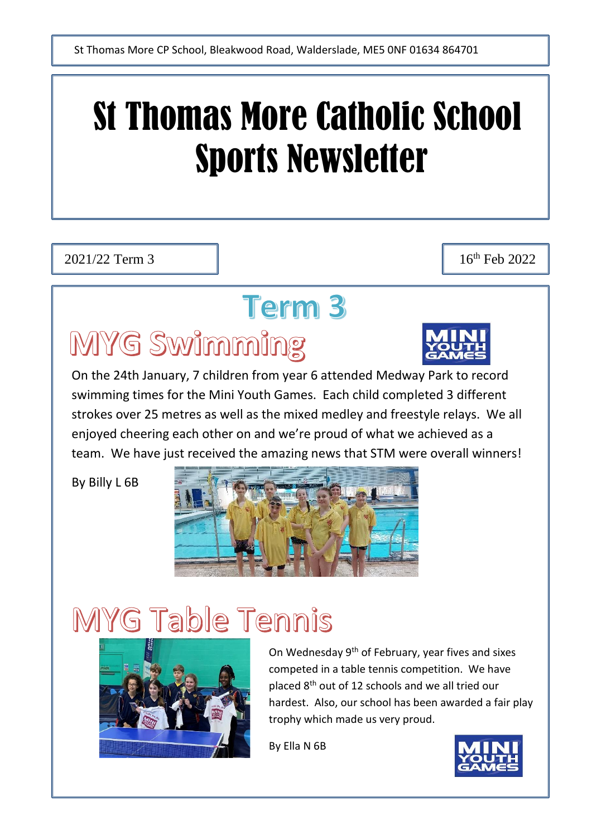# St Thomas More Catholic School Sports Newsletter

2021/22 Term 3 16<sup>th</sup> Feb 2022

### **Term 3**

## MYG Swimming

On the 24th January, 7 children from year 6 attended Medway Park to record swimming times for the Mini Youth Games. Each child completed 3 different strokes over 25 metres as well as the mixed medley and freestyle relays. We all enjoyed cheering each other on and we're proud of what we achieved as a team. We have just received the amazing news that STM were overall winners!

By Billy L 6B



# MYG Table Tennis



On Wednesday 9th of February, year fives and sixes competed in a table tennis competition. We have placed 8th out of 12 schools and we all tried our hardest. Also, our school has been awarded a fair play trophy which made us very proud.

By Ella N 6B